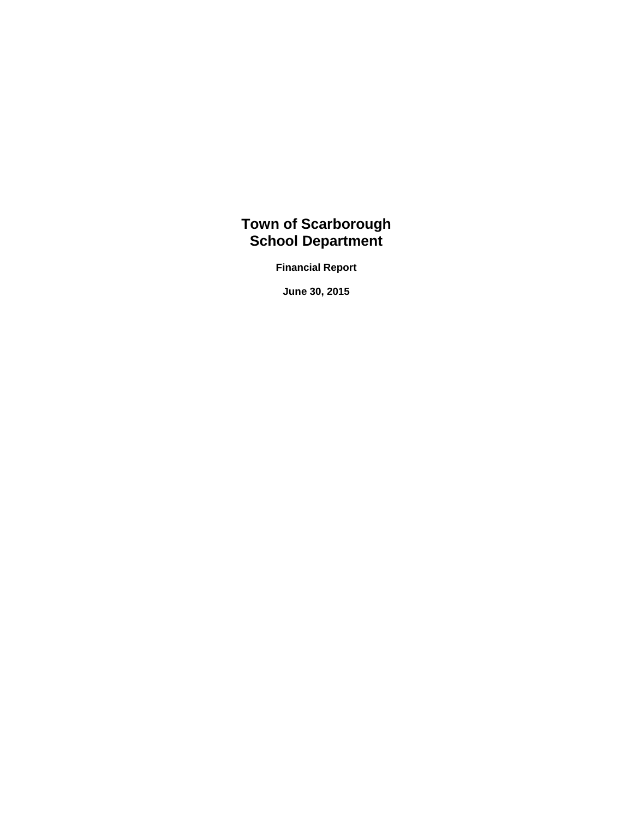# **Town of Scarborough School Department**

**Financial Report**

**June 30, 2015**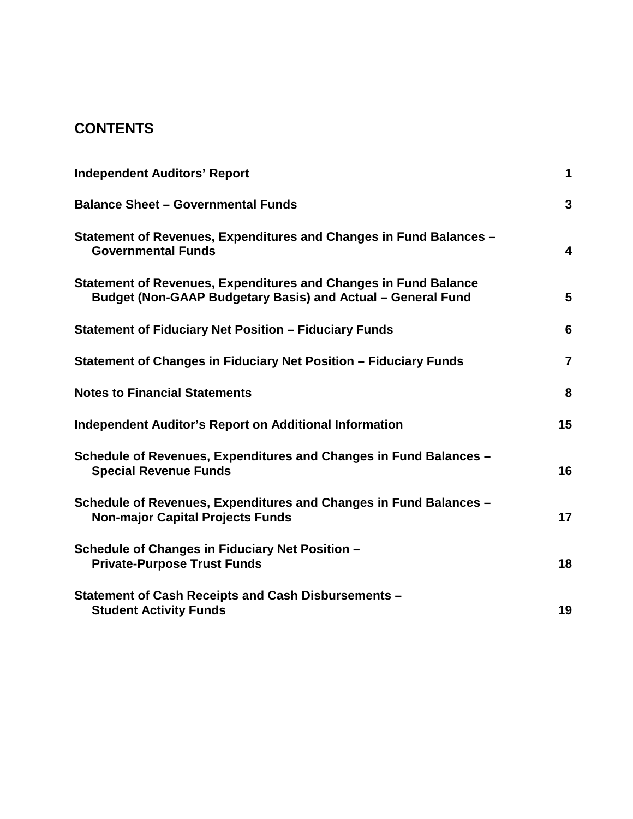## **CONTENTS**

| <b>Independent Auditors' Report</b>                                                                                                   | 1              |
|---------------------------------------------------------------------------------------------------------------------------------------|----------------|
| <b>Balance Sheet - Governmental Funds</b>                                                                                             | 3              |
| Statement of Revenues, Expenditures and Changes in Fund Balances -<br><b>Governmental Funds</b>                                       | 4              |
| <b>Statement of Revenues, Expenditures and Changes in Fund Balance</b><br>Budget (Non-GAAP Budgetary Basis) and Actual – General Fund | 5              |
| <b>Statement of Fiduciary Net Position - Fiduciary Funds</b>                                                                          | 6              |
| Statement of Changes in Fiduciary Net Position - Fiduciary Funds                                                                      | $\overline{7}$ |
| <b>Notes to Financial Statements</b>                                                                                                  | 8              |
| <b>Independent Auditor's Report on Additional Information</b>                                                                         | 15             |
| Schedule of Revenues, Expenditures and Changes in Fund Balances -<br><b>Special Revenue Funds</b>                                     | 16             |
| Schedule of Revenues, Expenditures and Changes in Fund Balances -<br><b>Non-major Capital Projects Funds</b>                          | 17             |
| Schedule of Changes in Fiduciary Net Position -<br><b>Private-Purpose Trust Funds</b>                                                 | 18             |
| Statement of Cash Receipts and Cash Disbursements -<br><b>Student Activity Funds</b>                                                  | 19             |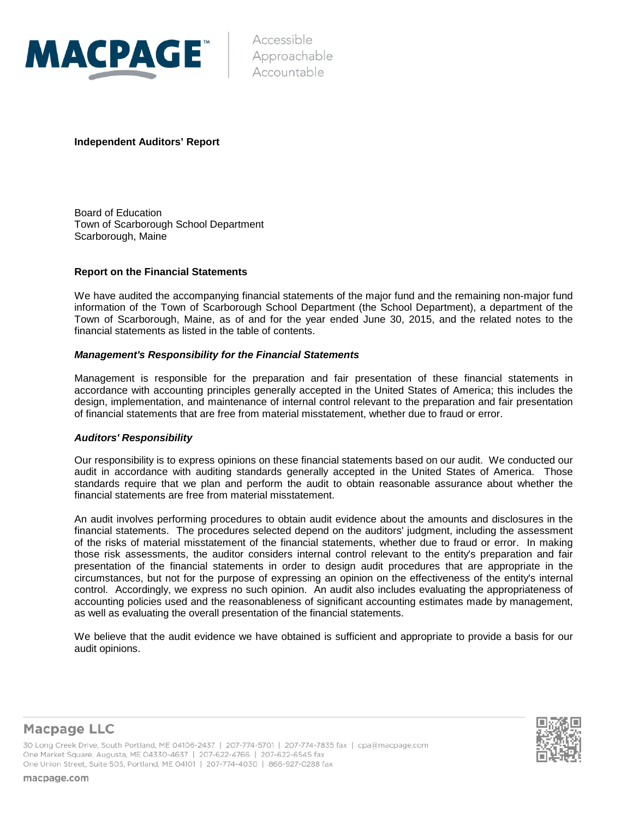

Accessible Approachable Accountable

#### **Independent Auditors' Report**

Board of Education Town of Scarborough School Department Scarborough, Maine

#### **Report on the Financial Statements**

We have audited the accompanying financial statements of the major fund and the remaining non-major fund information of the Town of Scarborough School Department (the School Department), a department of the Town of Scarborough, Maine, as of and for the year ended June 30, 2015, and the related notes to the financial statements as listed in the table of contents.

#### *Management's Responsibility for the Financial Statements*

Management is responsible for the preparation and fair presentation of these financial statements in accordance with accounting principles generally accepted in the United States of America; this includes the design, implementation, and maintenance of internal control relevant to the preparation and fair presentation of financial statements that are free from material misstatement, whether due to fraud or error.

#### *Auditors' Responsibility*

Our responsibility is to express opinions on these financial statements based on our audit. We conducted our audit in accordance with auditing standards generally accepted in the United States of America. Those standards require that we plan and perform the audit to obtain reasonable assurance about whether the financial statements are free from material misstatement.

An audit involves performing procedures to obtain audit evidence about the amounts and disclosures in the financial statements. The procedures selected depend on the auditors' judgment, including the assessment of the risks of material misstatement of the financial statements, whether due to fraud or error. In making those risk assessments, the auditor considers internal control relevant to the entity's preparation and fair presentation of the financial statements in order to design audit procedures that are appropriate in the circumstances, but not for the purpose of expressing an opinion on the effectiveness of the entity's internal control. Accordingly, we express no such opinion. An audit also includes evaluating the appropriateness of accounting policies used and the reasonableness of significant accounting estimates made by management, as well as evaluating the overall presentation of the financial statements.

We believe that the audit evidence we have obtained is sufficient and appropriate to provide a basis for our audit opinions.



30 Long Creek Drive, South Portland, ME 04106-2437 | 207-774-5701 | 207-774-7835 fax | cpa@macpage.com One Market Square, Augusta, ME 04330-4637 | 207-622-4766 | 207-622-6545 fax One Union Street, Suite 505, Portland, ME 04101 | 207-774-4030 | 866-927-0288 fax

**Macpage LLC**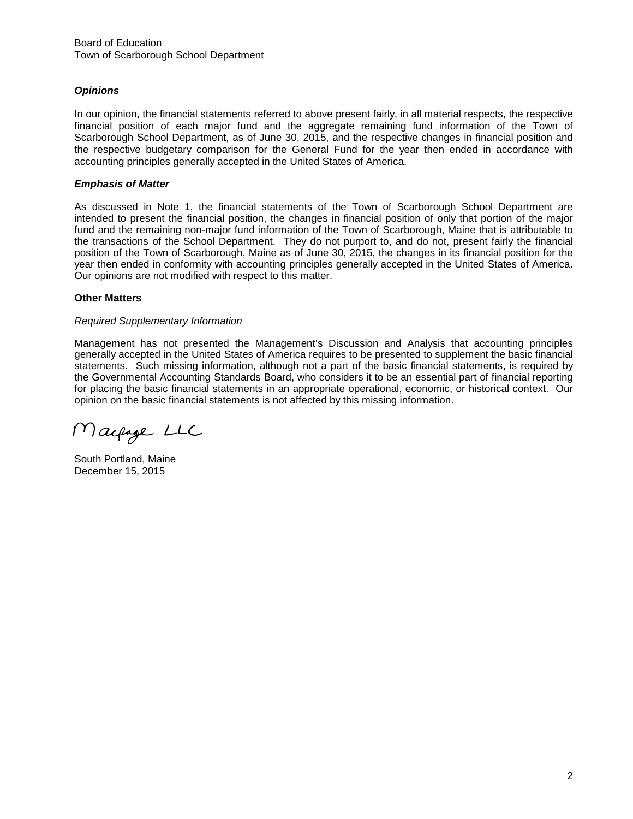#### *Opinions*

In our opinion, the financial statements referred to above present fairly, in all material respects, the respective financial position of each major fund and the aggregate remaining fund information of the Town of Scarborough School Department, as of June 30, 2015, and the respective changes in financial position and the respective budgetary comparison for the General Fund for the year then ended in accordance with accounting principles generally accepted in the United States of America.

#### *Emphasis of Matter*

As discussed in Note 1, the financial statements of the Town of Scarborough School Department are intended to present the financial position, the changes in financial position of only that portion of the major fund and the remaining non-major fund information of the Town of Scarborough, Maine that is attributable to the transactions of the School Department. They do not purport to, and do not, present fairly the financial position of the Town of Scarborough, Maine as of June 30, 2015, the changes in its financial position for the year then ended in conformity with accounting principles generally accepted in the United States of America. Our opinions are not modified with respect to this matter.

#### **Other Matters**

#### *Required Supplementary Information*

Management has not presented the Management's Discussion and Analysis that accounting principles generally accepted in the United States of America requires to be presented to supplement the basic financial statements. Such missing information, although not a part of the basic financial statements, is required by the Governmental Accounting Standards Board, who considers it to be an essential part of financial reporting for placing the basic financial statements in an appropriate operational, economic, or historical context. Our opinion on the basic financial statements is not affected by this missing information.

Macpage LLC

South Portland, Maine December 15, 2015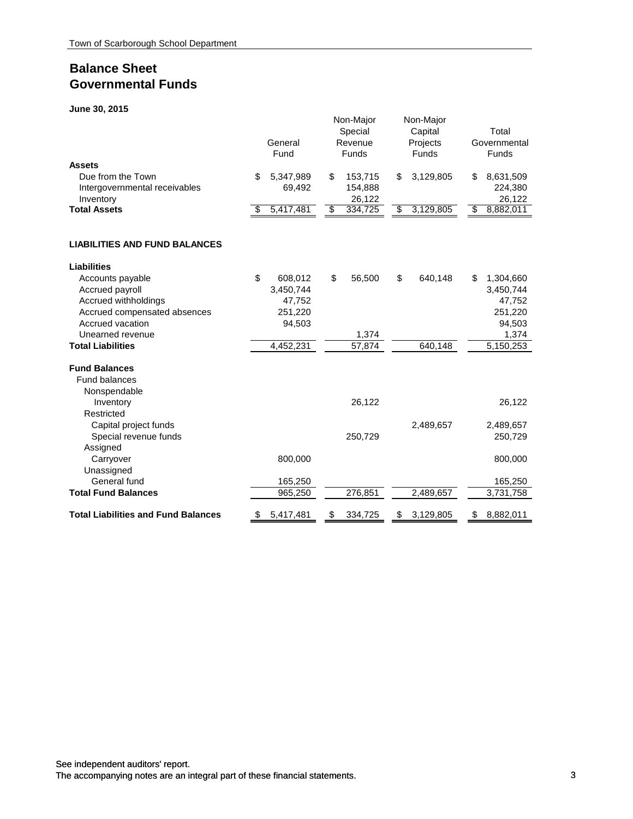### **Balance Sheet Governmental Funds**

**June 30, 2015**

|                                                                                                                                                           | General<br>Fund                                           | Non-Major<br>Special<br>Revenue<br>Funds | Non-Major<br>Capital<br>Projects<br>Funds |    | Total<br>Governmental<br>Funds                                 |  |
|-----------------------------------------------------------------------------------------------------------------------------------------------------------|-----------------------------------------------------------|------------------------------------------|-------------------------------------------|----|----------------------------------------------------------------|--|
| <b>Assets</b><br>Due from the Town<br>Intergovernmental receivables<br>Inventory                                                                          | \$<br>5,347,989<br>69,492                                 | \$<br>153,715<br>154,888<br>26,122       | \$<br>3,129,805                           | S  | 8,631,509<br>224,380<br>26,122                                 |  |
| <b>Total Assets</b>                                                                                                                                       | 5,417,481                                                 | \$<br>334,725                            | \$<br>3,129,805                           | \$ | 8,882,011                                                      |  |
| <b>LIABILITIES AND FUND BALANCES</b>                                                                                                                      |                                                           |                                          |                                           |    |                                                                |  |
| <b>Liabilities</b><br>Accounts payable<br>Accrued payroll<br>Accrued withholdings<br>Accrued compensated absences<br>Accrued vacation<br>Unearned revenue | \$<br>608,012<br>3,450,744<br>47,752<br>251,220<br>94,503 | \$<br>56,500<br>1,374                    | \$<br>640,148                             | \$ | 1,304,660<br>3,450,744<br>47,752<br>251,220<br>94,503<br>1,374 |  |
| <b>Total Liabilities</b>                                                                                                                                  | 4,452,231                                                 | 57,874                                   | 640,148                                   |    | 5,150,253                                                      |  |
| <b>Fund Balances</b><br><b>Fund balances</b><br>Nonspendable                                                                                              |                                                           |                                          |                                           |    |                                                                |  |
| Inventory<br>Restricted                                                                                                                                   |                                                           | 26,122                                   |                                           |    | 26,122                                                         |  |
| Capital project funds<br>Special revenue funds<br>Assigned                                                                                                |                                                           | 250,729                                  | 2,489,657                                 |    | 2,489,657<br>250,729                                           |  |
| Carryover<br>Unassigned                                                                                                                                   | 800,000                                                   |                                          |                                           |    | 800,000                                                        |  |
| General fund<br><b>Total Fund Balances</b>                                                                                                                | 165,250<br>965,250                                        | 276,851                                  | 2,489,657                                 |    | 165,250<br>3,731,758                                           |  |
| <b>Total Liabilities and Fund Balances</b>                                                                                                                | \$<br>5,417,481                                           | \$<br>334,725                            | \$<br>3,129,805                           | \$ | 8,882,011                                                      |  |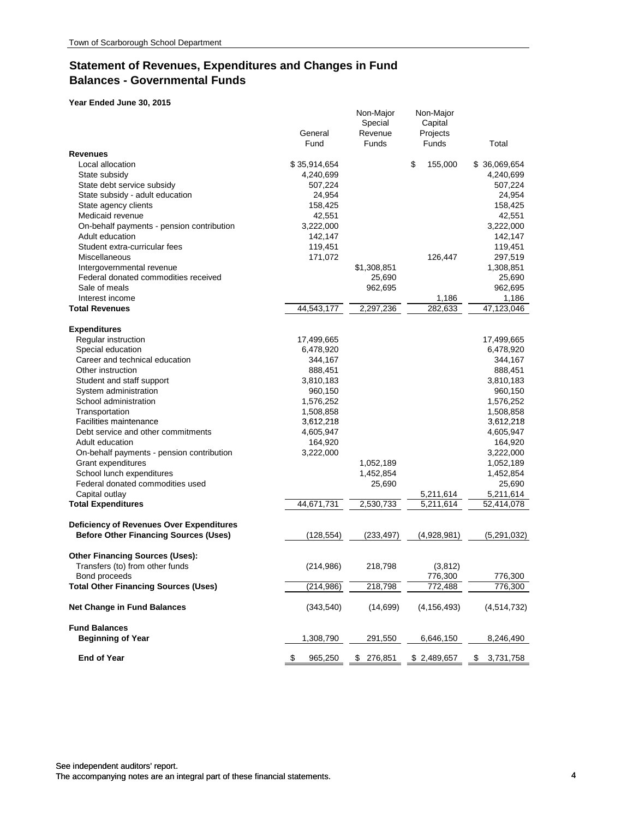### **Statement of Revenues, Expenditures and Changes in Fund Balances - Governmental Funds**

|                                                 | General<br>Fund | Non-Major<br>Special<br>Revenue<br><b>Funds</b> | Non-Major<br>Capital<br>Projects<br>Funds | Total                |
|-------------------------------------------------|-----------------|-------------------------------------------------|-------------------------------------------|----------------------|
| <b>Revenues</b>                                 |                 |                                                 |                                           |                      |
| Local allocation                                | \$35,914,654    |                                                 | \$<br>155,000                             | \$36,069,654         |
| State subsidy                                   | 4,240,699       |                                                 |                                           | 4,240,699            |
| State debt service subsidy                      | 507,224         |                                                 |                                           | 507,224              |
| State subsidy - adult education                 | 24,954          |                                                 |                                           | 24,954               |
| State agency clients                            | 158,425         |                                                 |                                           | 158,425              |
| Medicaid revenue                                | 42,551          |                                                 |                                           | 42,551               |
| On-behalf payments - pension contribution       | 3,222,000       |                                                 |                                           | 3,222,000            |
| Adult education                                 | 142,147         |                                                 |                                           | 142,147              |
| Student extra-curricular fees                   | 119,451         |                                                 |                                           | 119,451              |
| Miscellaneous                                   | 171,072         |                                                 | 126,447                                   | 297,519              |
| Intergovernmental revenue                       |                 | \$1,308,851                                     |                                           | 1,308,851            |
| Federal donated commodities received            |                 | 25,690                                          |                                           | 25,690               |
| Sale of meals                                   |                 | 962,695                                         |                                           | 962,695              |
| Interest income                                 |                 |                                                 | 1,186                                     | 1,186                |
| <b>Total Revenues</b>                           | 44,543,177      | 2,297,236                                       | 282,633                                   | 47,123,046           |
| <b>Expenditures</b>                             |                 |                                                 |                                           |                      |
| Regular instruction                             | 17,499,665      |                                                 |                                           | 17,499,665           |
| Special education                               | 6,478,920       |                                                 |                                           | 6,478,920            |
| Career and technical education                  | 344,167         |                                                 |                                           | 344,167              |
| Other instruction                               | 888,451         |                                                 |                                           | 888,451              |
| Student and staff support                       | 3,810,183       |                                                 |                                           | 3,810,183            |
| System administration                           | 960,150         |                                                 |                                           |                      |
| School administration                           | 1,576,252       |                                                 |                                           | 960,150<br>1,576,252 |
| Transportation                                  |                 |                                                 |                                           |                      |
| Facilities maintenance                          | 1,508,858       |                                                 |                                           | 1,508,858            |
| Debt service and other commitments              | 3,612,218       |                                                 |                                           | 3,612,218            |
|                                                 | 4,605,947       |                                                 |                                           | 4,605,947            |
| Adult education                                 | 164,920         |                                                 |                                           | 164,920              |
| On-behalf payments - pension contribution       | 3,222,000       |                                                 |                                           | 3,222,000            |
| Grant expenditures                              |                 | 1,052,189                                       |                                           | 1,052,189            |
| School lunch expenditures                       |                 | 1,452,854                                       |                                           | 1,452,854            |
| Federal donated commodities used                |                 | 25,690                                          |                                           | 25,690               |
| Capital outlay                                  |                 |                                                 | 5,211,614                                 | 5,211,614            |
| <b>Total Expenditures</b>                       | 44,671,731      | 2,530,733                                       | 5,211,614                                 | 52,414,078           |
| <b>Deficiency of Revenues Over Expenditures</b> |                 |                                                 |                                           |                      |
| <b>Before Other Financing Sources (Uses)</b>    | (128, 554)      | (233,497)                                       | (4,928,981)                               | (5,291,032)          |
| <b>Other Financing Sources (Uses):</b>          |                 |                                                 |                                           |                      |
| Transfers (to) from other funds                 | (214, 986)      | 218,798                                         | (3, 812)                                  |                      |
| Bond proceeds                                   |                 |                                                 | 776,300                                   | 776,300              |
| <b>Total Other Financing Sources (Uses)</b>     | (214, 986)      | 218,798                                         | 772,488                                   | 776,300              |
| <b>Net Change in Fund Balances</b>              | (343,540)       | (14, 699)                                       | (4, 156, 493)                             | (4,514,732)          |
| <b>Fund Balances</b>                            |                 |                                                 |                                           |                      |
| <b>Beginning of Year</b>                        | 1,308,790       | 291,550                                         | 6,646,150                                 | 8,246,490            |
| <b>End of Year</b>                              | \$<br>965,250   | 276,851<br>\$                                   | \$2,489,657                               | \$<br>3,731,758      |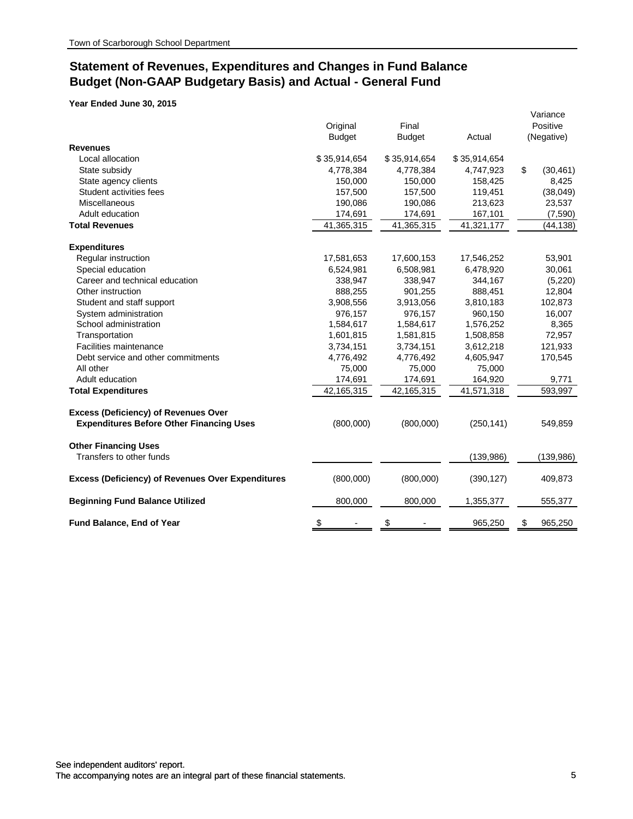### **Statement of Revenues, Expenditures and Changes in Fund Balance Budget (Non-GAAP Budgetary Basis) and Actual - General Fund**

|                                                          | Original<br><b>Budget</b> | Final<br><b>Budget</b> | Actual       | Variance<br>Positive<br>(Negative) |
|----------------------------------------------------------|---------------------------|------------------------|--------------|------------------------------------|
| <b>Revenues</b>                                          |                           |                        |              |                                    |
| Local allocation                                         | \$35,914,654              | \$35,914,654           | \$35,914,654 |                                    |
| State subsidy                                            | 4,778,384                 | 4,778,384              | 4,747,923    | \$<br>(30, 461)                    |
| State agency clients                                     | 150,000                   | 150,000                | 158,425      | 8,425                              |
| Student activities fees                                  | 157,500                   | 157,500                | 119,451      | (38, 049)                          |
| Miscellaneous                                            | 190,086                   | 190,086                | 213,623      | 23,537                             |
| Adult education                                          | 174,691                   | 174,691                | 167,101      | (7, 590)                           |
| <b>Total Revenues</b>                                    | 41,365,315                | 41,365,315             | 41,321,177   | (44, 138)                          |
| <b>Expenditures</b>                                      |                           |                        |              |                                    |
| Regular instruction                                      | 17,581,653                | 17,600,153             | 17,546,252   | 53,901                             |
| Special education                                        | 6,524,981                 | 6,508,981              | 6,478,920    | 30,061                             |
| Career and technical education                           | 338,947                   | 338,947                | 344,167      | (5, 220)                           |
| Other instruction                                        | 888,255                   | 901,255                | 888,451      | 12,804                             |
| Student and staff support                                | 3,908,556                 | 3,913,056              | 3,810,183    | 102,873                            |
| System administration                                    | 976,157                   | 976,157                | 960,150      | 16,007                             |
| School administration                                    | 1,584,617                 | 1,584,617              | 1,576,252    | 8,365                              |
| Transportation                                           | 1,601,815                 | 1,581,815              | 1,508,858    | 72,957                             |
| Facilities maintenance                                   | 3,734,151                 | 3,734,151              | 3,612,218    | 121,933                            |
| Debt service and other commitments                       | 4,776,492                 | 4,776,492              | 4,605,947    | 170,545                            |
| All other                                                | 75,000                    | 75,000                 | 75,000       |                                    |
| Adult education                                          | 174,691                   | 174,691                | 164,920      | 9,771                              |
| <b>Total Expenditures</b>                                | 42,165,315                | 42,165,315             | 41,571,318   | 593,997                            |
| <b>Excess (Deficiency) of Revenues Over</b>              |                           |                        |              |                                    |
| <b>Expenditures Before Other Financing Uses</b>          | (800,000)                 | (800,000)              | (250, 141)   | 549,859                            |
| <b>Other Financing Uses</b>                              |                           |                        |              |                                    |
| Transfers to other funds                                 |                           |                        | (139, 986)   | (139, 986)                         |
| <b>Excess (Deficiency) of Revenues Over Expenditures</b> | (800,000)                 | (800,000)              | (390, 127)   | 409,873                            |
| <b>Beginning Fund Balance Utilized</b>                   | 800,000                   | 800,000                | 1,355,377    | 555,377                            |
| <b>Fund Balance, End of Year</b>                         | \$                        | \$                     | 965,250      | \$<br>965,250                      |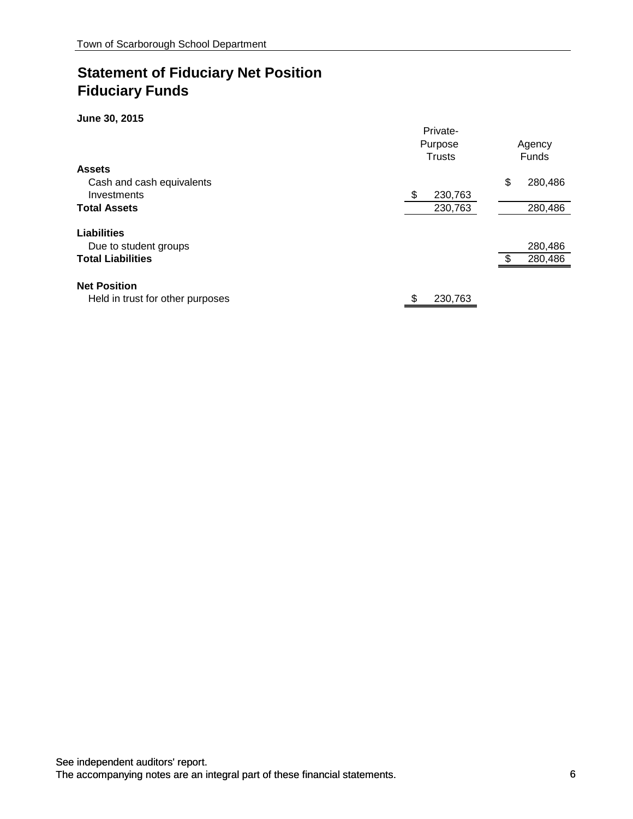# **Statement of Fiduciary Net Position Fiduciary Funds**

#### **June 30, 2015**

|                                  | Private-      |               |
|----------------------------------|---------------|---------------|
|                                  | Purpose       | Agency        |
|                                  | <b>Trusts</b> | <b>Funds</b>  |
| <b>Assets</b>                    |               |               |
| Cash and cash equivalents        |               | \$<br>280,486 |
| Investments                      | 230,763<br>\$ |               |
| <b>Total Assets</b>              | 230,763       | 280,486       |
| <b>Liabilities</b>               |               |               |
| Due to student groups            |               | 280,486       |
| <b>Total Liabilities</b>         |               | 280,486       |
| <b>Net Position</b>              |               |               |
| Held in trust for other purposes | 230,763<br>\$ |               |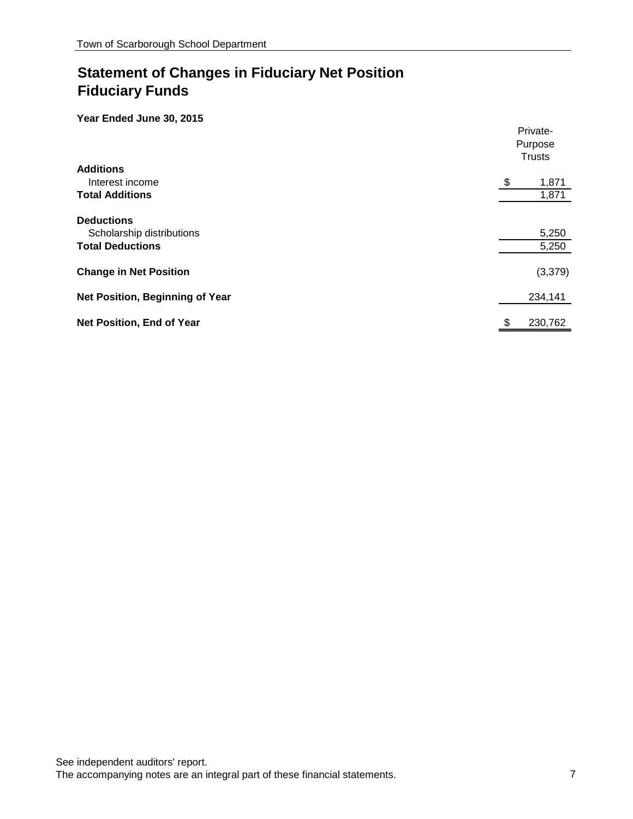# **Statement of Changes in Fiduciary Net Position Fiduciary Funds**

|                                 | Private-<br>Purpose<br><b>Trusts</b> |
|---------------------------------|--------------------------------------|
| <b>Additions</b>                |                                      |
| Interest income                 | \$<br>1,871                          |
| <b>Total Additions</b>          | 1,871                                |
| <b>Deductions</b>               |                                      |
| Scholarship distributions       | 5,250                                |
| <b>Total Deductions</b>         | 5,250                                |
| <b>Change in Net Position</b>   | (3,379)                              |
| Net Position, Beginning of Year | 234,141                              |
| Net Position, End of Year       | 230,762<br>\$                        |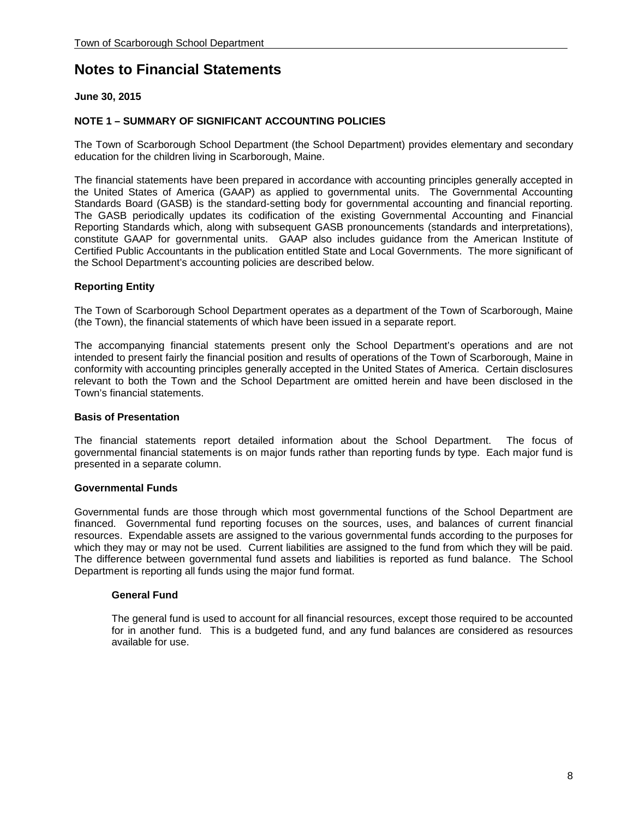#### **June 30, 2015**

#### **NOTE 1 – SUMMARY OF SIGNIFICANT ACCOUNTING POLICIES**

The Town of Scarborough School Department (the School Department) provides elementary and secondary education for the children living in Scarborough, Maine.

The financial statements have been prepared in accordance with accounting principles generally accepted in the United States of America (GAAP) as applied to governmental units. The Governmental Accounting Standards Board (GASB) is the standard-setting body for governmental accounting and financial reporting. The GASB periodically updates its codification of the existing Governmental Accounting and Financial Reporting Standards which, along with subsequent GASB pronouncements (standards and interpretations), constitute GAAP for governmental units. GAAP also includes guidance from the American Institute of Certified Public Accountants in the publication entitled State and Local Governments. The more significant of the School Department's accounting policies are described below.

#### **Reporting Entity**

The Town of Scarborough School Department operates as a department of the Town of Scarborough, Maine (the Town), the financial statements of which have been issued in a separate report.

The accompanying financial statements present only the School Department's operations and are not intended to present fairly the financial position and results of operations of the Town of Scarborough, Maine in conformity with accounting principles generally accepted in the United States of America. Certain disclosures relevant to both the Town and the School Department are omitted herein and have been disclosed in the Town's financial statements.

#### **Basis of Presentation**

The financial statements report detailed information about the School Department. The focus of governmental financial statements is on major funds rather than reporting funds by type. Each major fund is presented in a separate column.

#### **Governmental Funds**

Governmental funds are those through which most governmental functions of the School Department are financed. Governmental fund reporting focuses on the sources, uses, and balances of current financial resources. Expendable assets are assigned to the various governmental funds according to the purposes for which they may or may not be used. Current liabilities are assigned to the fund from which they will be paid. The difference between governmental fund assets and liabilities is reported as fund balance. The School Department is reporting all funds using the major fund format.

#### **General Fund**

The general fund is used to account for all financial resources, except those required to be accounted for in another fund. This is a budgeted fund, and any fund balances are considered as resources available for use.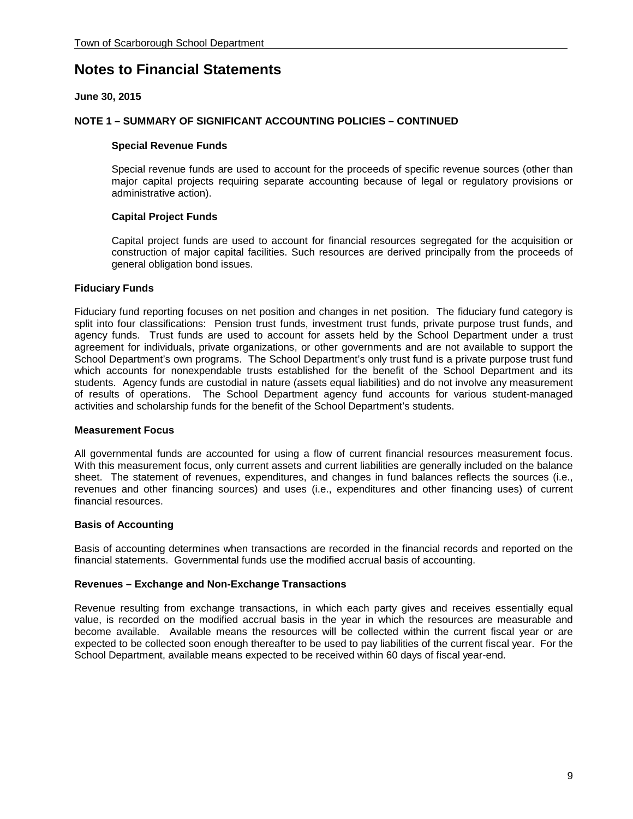#### **June 30, 2015**

#### **NOTE 1 – SUMMARY OF SIGNIFICANT ACCOUNTING POLICIES – CONTINUED**

#### **Special Revenue Funds**

Special revenue funds are used to account for the proceeds of specific revenue sources (other than major capital projects requiring separate accounting because of legal or regulatory provisions or administrative action).

#### **Capital Project Funds**

Capital project funds are used to account for financial resources segregated for the acquisition or construction of major capital facilities. Such resources are derived principally from the proceeds of general obligation bond issues.

#### **Fiduciary Funds**

Fiduciary fund reporting focuses on net position and changes in net position. The fiduciary fund category is split into four classifications: Pension trust funds, investment trust funds, private purpose trust funds, and agency funds. Trust funds are used to account for assets held by the School Department under a trust agreement for individuals, private organizations, or other governments and are not available to support the School Department's own programs. The School Department's only trust fund is a private purpose trust fund which accounts for nonexpendable trusts established for the benefit of the School Department and its students. Agency funds are custodial in nature (assets equal liabilities) and do not involve any measurement of results of operations. The School Department agency fund accounts for various student-managed activities and scholarship funds for the benefit of the School Department's students.

#### **Measurement Focus**

All governmental funds are accounted for using a flow of current financial resources measurement focus. With this measurement focus, only current assets and current liabilities are generally included on the balance sheet. The statement of revenues, expenditures, and changes in fund balances reflects the sources (i.e., revenues and other financing sources) and uses (i.e., expenditures and other financing uses) of current financial resources.

#### **Basis of Accounting**

Basis of accounting determines when transactions are recorded in the financial records and reported on the financial statements. Governmental funds use the modified accrual basis of accounting.

#### **Revenues – Exchange and Non-Exchange Transactions**

Revenue resulting from exchange transactions, in which each party gives and receives essentially equal value, is recorded on the modified accrual basis in the year in which the resources are measurable and become available. Available means the resources will be collected within the current fiscal year or are expected to be collected soon enough thereafter to be used to pay liabilities of the current fiscal year. For the School Department, available means expected to be received within 60 days of fiscal year-end.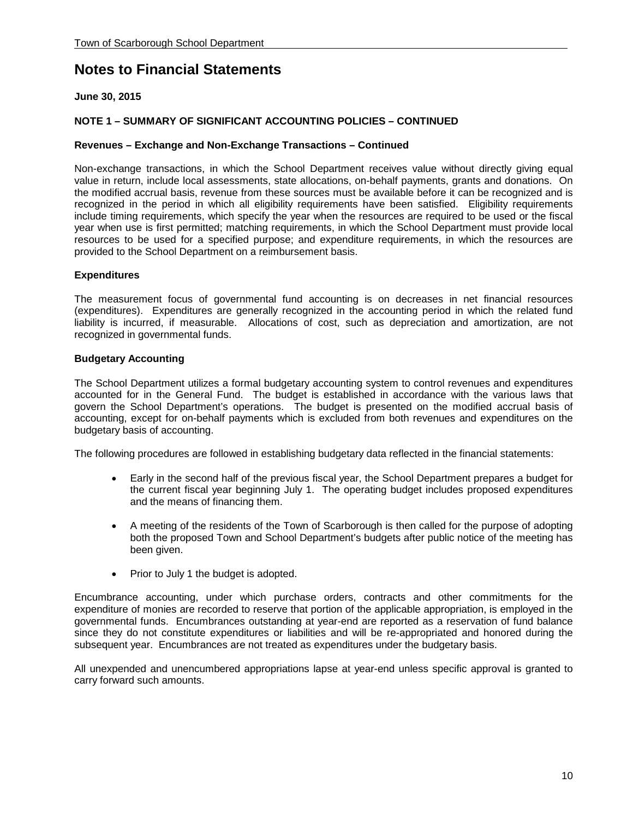#### **June 30, 2015**

#### **NOTE 1 – SUMMARY OF SIGNIFICANT ACCOUNTING POLICIES – CONTINUED**

#### **Revenues – Exchange and Non-Exchange Transactions – Continued**

Non-exchange transactions, in which the School Department receives value without directly giving equal value in return, include local assessments, state allocations, on-behalf payments, grants and donations. On the modified accrual basis, revenue from these sources must be available before it can be recognized and is recognized in the period in which all eligibility requirements have been satisfied. Eligibility requirements include timing requirements, which specify the year when the resources are required to be used or the fiscal year when use is first permitted; matching requirements, in which the School Department must provide local resources to be used for a specified purpose; and expenditure requirements, in which the resources are provided to the School Department on a reimbursement basis.

#### **Expenditures**

The measurement focus of governmental fund accounting is on decreases in net financial resources (expenditures). Expenditures are generally recognized in the accounting period in which the related fund liability is incurred, if measurable. Allocations of cost, such as depreciation and amortization, are not recognized in governmental funds.

#### **Budgetary Accounting**

The School Department utilizes a formal budgetary accounting system to control revenues and expenditures accounted for in the General Fund. The budget is established in accordance with the various laws that govern the School Department's operations. The budget is presented on the modified accrual basis of accounting, except for on-behalf payments which is excluded from both revenues and expenditures on the budgetary basis of accounting.

The following procedures are followed in establishing budgetary data reflected in the financial statements:

- Early in the second half of the previous fiscal year, the School Department prepares a budget for the current fiscal year beginning July 1. The operating budget includes proposed expenditures and the means of financing them.
- A meeting of the residents of the Town of Scarborough is then called for the purpose of adopting both the proposed Town and School Department's budgets after public notice of the meeting has been given.
- Prior to July 1 the budget is adopted.

Encumbrance accounting, under which purchase orders, contracts and other commitments for the expenditure of monies are recorded to reserve that portion of the applicable appropriation, is employed in the governmental funds. Encumbrances outstanding at year-end are reported as a reservation of fund balance since they do not constitute expenditures or liabilities and will be re-appropriated and honored during the subsequent year. Encumbrances are not treated as expenditures under the budgetary basis.

All unexpended and unencumbered appropriations lapse at year-end unless specific approval is granted to carry forward such amounts.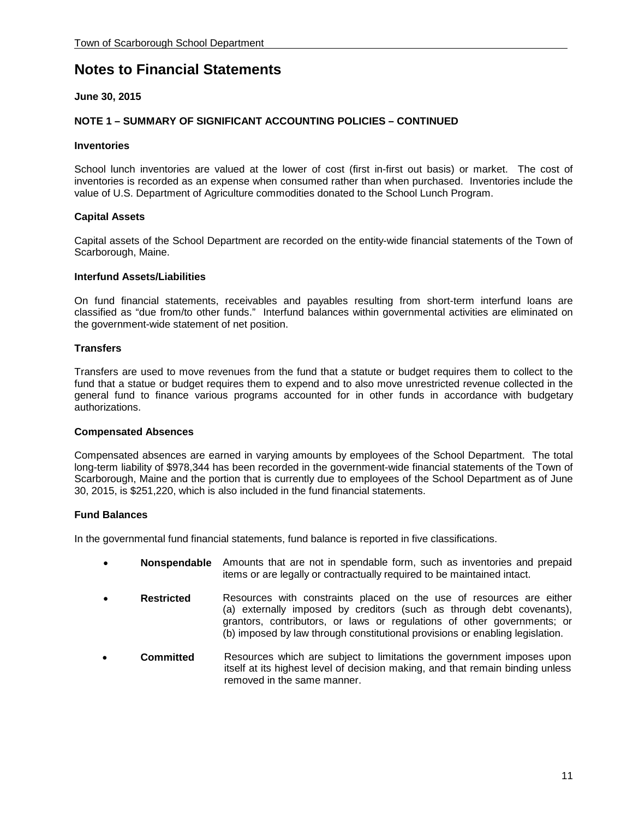#### **June 30, 2015**

#### **NOTE 1 – SUMMARY OF SIGNIFICANT ACCOUNTING POLICIES – CONTINUED**

#### **Inventories**

School lunch inventories are valued at the lower of cost (first in-first out basis) or market. The cost of inventories is recorded as an expense when consumed rather than when purchased. Inventories include the value of U.S. Department of Agriculture commodities donated to the School Lunch Program.

#### **Capital Assets**

Capital assets of the School Department are recorded on the entity-wide financial statements of the Town of Scarborough, Maine.

#### **Interfund Assets/Liabilities**

On fund financial statements, receivables and payables resulting from short-term interfund loans are classified as "due from/to other funds." Interfund balances within governmental activities are eliminated on the government-wide statement of net position.

#### **Transfers**

Transfers are used to move revenues from the fund that a statute or budget requires them to collect to the fund that a statue or budget requires them to expend and to also move unrestricted revenue collected in the general fund to finance various programs accounted for in other funds in accordance with budgetary authorizations.

#### **Compensated Absences**

Compensated absences are earned in varying amounts by employees of the School Department. The total long-term liability of \$978,344 has been recorded in the government-wide financial statements of the Town of Scarborough, Maine and the portion that is currently due to employees of the School Department as of June 30, 2015, is \$251,220, which is also included in the fund financial statements.

#### **Fund Balances**

In the governmental fund financial statements, fund balance is reported in five classifications.

- **Nonspendable** Amounts that are not in spendable form, such as inventories and prepaid items or are legally or contractually required to be maintained intact.
- **Restricted** Resources with constraints placed on the use of resources are either (a) externally imposed by creditors (such as through debt covenants), grantors, contributors, or laws or regulations of other governments; or (b) imposed by law through constitutional provisions or enabling legislation.
- **Committed** Resources which are subject to limitations the government imposes upon itself at its highest level of decision making, and that remain binding unless removed in the same manner.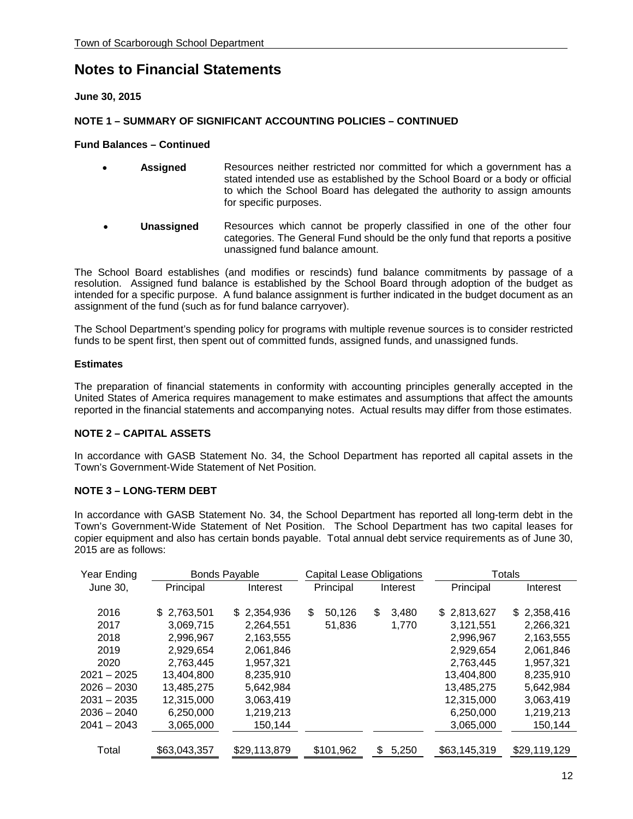**June 30, 2015**

#### **NOTE 1 – SUMMARY OF SIGNIFICANT ACCOUNTING POLICIES – CONTINUED**

#### **Fund Balances – Continued**

| $\bullet$ | Assigned | Resources neither restricted nor committed for which a government has a<br>stated intended use as established by the School Board or a body or official<br>to which the School Board has delegated the authority to assign amounts<br>for specific purposes. |
|-----------|----------|--------------------------------------------------------------------------------------------------------------------------------------------------------------------------------------------------------------------------------------------------------------|
|           |          |                                                                                                                                                                                                                                                              |

 **Unassigned** Resources which cannot be properly classified in one of the other four categories. The General Fund should be the only fund that reports a positive unassigned fund balance amount.

The School Board establishes (and modifies or rescinds) fund balance commitments by passage of a resolution. Assigned fund balance is established by the School Board through adoption of the budget as intended for a specific purpose. A fund balance assignment is further indicated in the budget document as an assignment of the fund (such as for fund balance carryover).

The School Department's spending policy for programs with multiple revenue sources is to consider restricted funds to be spent first, then spent out of committed funds, assigned funds, and unassigned funds.

#### **Estimates**

The preparation of financial statements in conformity with accounting principles generally accepted in the United States of America requires management to make estimates and assumptions that affect the amounts reported in the financial statements and accompanying notes. Actual results may differ from those estimates.

#### **NOTE 2 – CAPITAL ASSETS**

In accordance with GASB Statement No. 34, the School Department has reported all capital assets in the Town's Government-Wide Statement of Net Position.

#### **NOTE 3 – LONG-TERM DEBT**

In accordance with GASB Statement No. 34, the School Department has reported all long-term debt in the Town's Government-Wide Statement of Net Position. The School Department has two capital leases for copier equipment and also has certain bonds payable. Total annual debt service requirements as of June 30, 2015 are as follows:

| Year Ending   |              | <b>Bonds Payable</b> |    |           | <b>Capital Lease Obligations</b> | Totals       |              |  |  |
|---------------|--------------|----------------------|----|-----------|----------------------------------|--------------|--------------|--|--|
| June 30,      | Principal    | Interest             |    | Principal | Interest                         | Principal    | Interest     |  |  |
| 2016          | \$2,763,501  | \$2,354,936          | \$ | 50,126    | \$<br>3,480                      | \$2,813,627  | \$2,358,416  |  |  |
| 2017          | 3.069.715    | 2,264,551            |    | 51,836    | 1.770                            | 3.121.551    | 2,266,321    |  |  |
| 2018          | 2.996.967    | 2,163,555            |    |           |                                  | 2,996,967    | 2,163,555    |  |  |
| 2019          | 2,929,654    | 2,061,846            |    |           |                                  | 2,929,654    | 2,061,846    |  |  |
| 2020          | 2.763.445    | 1.957.321            |    |           |                                  | 2.763.445    | 1.957.321    |  |  |
| $2021 - 2025$ | 13.404.800   | 8.235.910            |    |           |                                  | 13.404.800   | 8,235,910    |  |  |
| $2026 - 2030$ | 13,485,275   | 5,642,984            |    |           |                                  | 13,485,275   | 5,642,984    |  |  |
| $2031 - 2035$ | 12,315,000   | 3,063,419            |    |           |                                  | 12,315,000   | 3,063,419    |  |  |
| $2036 - 2040$ | 6,250,000    | 1,219,213            |    |           |                                  | 6.250.000    | 1,219,213    |  |  |
| $2041 - 2043$ | 3,065,000    | 150,144              |    |           |                                  | 3,065,000    | 150,144      |  |  |
|               |              |                      |    |           |                                  |              |              |  |  |
| Total         | \$63,043,357 | \$29,113,879         |    | \$101,962 | \$<br>5,250                      | \$63,145,319 | \$29,119,129 |  |  |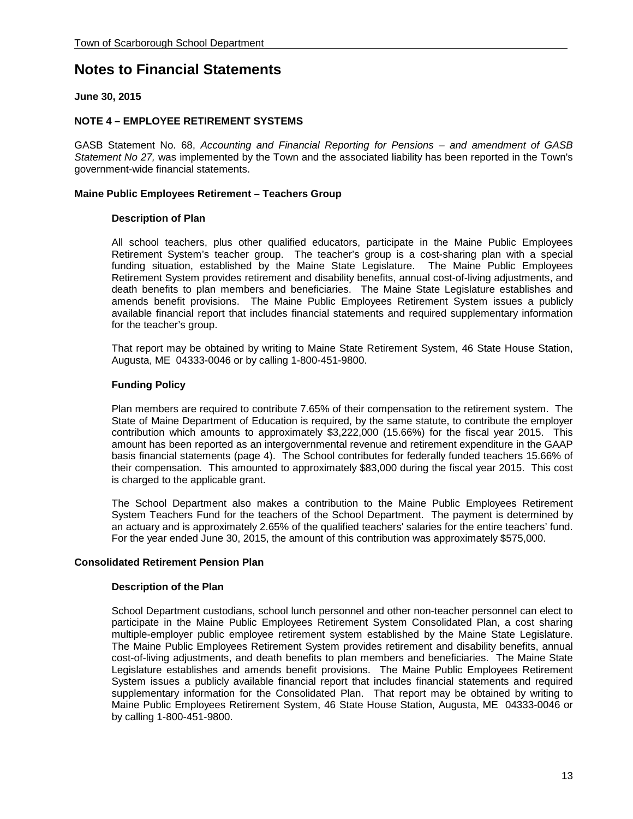#### **June 30, 2015**

#### **NOTE 4 – EMPLOYEE RETIREMENT SYSTEMS**

GASB Statement No. 68, *Accounting and Financial Reporting for Pensions – and amendment of GASB Statement No 27,* was implemented by the Town and the associated liability has been reported in the Town's government-wide financial statements.

#### **Maine Public Employees Retirement – Teachers Group**

#### **Description of Plan**

All school teachers, plus other qualified educators, participate in the Maine Public Employees Retirement System's teacher group. The teacher's group is a cost-sharing plan with a special funding situation, established by the Maine State Legislature. The Maine Public Employees Retirement System provides retirement and disability benefits, annual cost-of-living adjustments, and death benefits to plan members and beneficiaries. The Maine State Legislature establishes and amends benefit provisions. The Maine Public Employees Retirement System issues a publicly available financial report that includes financial statements and required supplementary information for the teacher's group.

That report may be obtained by writing to Maine State Retirement System, 46 State House Station, Augusta, ME 04333-0046 or by calling 1-800-451-9800.

#### **Funding Policy**

Plan members are required to contribute 7.65% of their compensation to the retirement system. The State of Maine Department of Education is required, by the same statute, to contribute the employer contribution which amounts to approximately \$3,222,000 (15.66%) for the fiscal year 2015. This amount has been reported as an intergovernmental revenue and retirement expenditure in the GAAP basis financial statements (page 4). The School contributes for federally funded teachers 15.66% of their compensation. This amounted to approximately \$83,000 during the fiscal year 2015. This cost is charged to the applicable grant.

The School Department also makes a contribution to the Maine Public Employees Retirement System Teachers Fund for the teachers of the School Department. The payment is determined by an actuary and is approximately 2.65% of the qualified teachers' salaries for the entire teachers' fund. For the year ended June 30, 2015, the amount of this contribution was approximately \$575,000.

#### **Consolidated Retirement Pension Plan**

#### **Description of the Plan**

School Department custodians, school lunch personnel and other non-teacher personnel can elect to participate in the Maine Public Employees Retirement System Consolidated Plan, a cost sharing multiple-employer public employee retirement system established by the Maine State Legislature. The Maine Public Employees Retirement System provides retirement and disability benefits, annual cost-of-living adjustments, and death benefits to plan members and beneficiaries. The Maine State Legislature establishes and amends benefit provisions. The Maine Public Employees Retirement System issues a publicly available financial report that includes financial statements and required supplementary information for the Consolidated Plan. That report may be obtained by writing to Maine Public Employees Retirement System, 46 State House Station, Augusta, ME 04333-0046 or by calling 1-800-451-9800.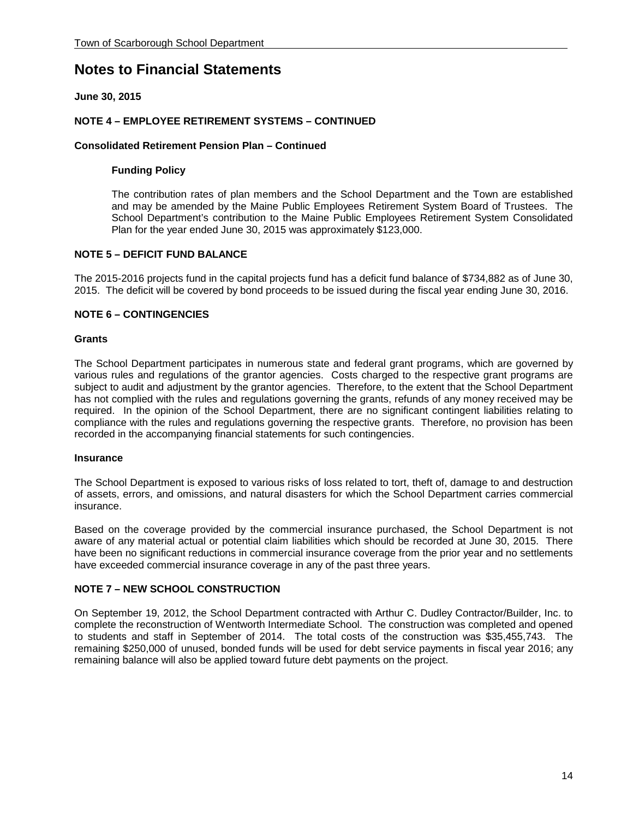**June 30, 2015**

#### **NOTE 4 – EMPLOYEE RETIREMENT SYSTEMS – CONTINUED**

#### **Consolidated Retirement Pension Plan – Continued**

#### **Funding Policy**

The contribution rates of plan members and the School Department and the Town are established and may be amended by the Maine Public Employees Retirement System Board of Trustees. The School Department's contribution to the Maine Public Employees Retirement System Consolidated Plan for the year ended June 30, 2015 was approximately \$123,000.

#### **NOTE 5 – DEFICIT FUND BALANCE**

The 2015-2016 projects fund in the capital projects fund has a deficit fund balance of \$734,882 as of June 30, 2015. The deficit will be covered by bond proceeds to be issued during the fiscal year ending June 30, 2016.

#### **NOTE 6 – CONTINGENCIES**

#### **Grants**

The School Department participates in numerous state and federal grant programs, which are governed by various rules and regulations of the grantor agencies. Costs charged to the respective grant programs are subject to audit and adjustment by the grantor agencies. Therefore, to the extent that the School Department has not complied with the rules and regulations governing the grants, refunds of any money received may be required. In the opinion of the School Department, there are no significant contingent liabilities relating to compliance with the rules and regulations governing the respective grants. Therefore, no provision has been recorded in the accompanying financial statements for such contingencies.

#### **Insurance**

The School Department is exposed to various risks of loss related to tort, theft of, damage to and destruction of assets, errors, and omissions, and natural disasters for which the School Department carries commercial insurance.

Based on the coverage provided by the commercial insurance purchased, the School Department is not aware of any material actual or potential claim liabilities which should be recorded at June 30, 2015. There have been no significant reductions in commercial insurance coverage from the prior year and no settlements have exceeded commercial insurance coverage in any of the past three years.

#### **NOTE 7 – NEW SCHOOL CONSTRUCTION**

On September 19, 2012, the School Department contracted with Arthur C. Dudley Contractor/Builder, Inc. to complete the reconstruction of Wentworth Intermediate School. The construction was completed and opened to students and staff in September of 2014. The total costs of the construction was \$35,455,743. The remaining \$250,000 of unused, bonded funds will be used for debt service payments in fiscal year 2016; any remaining balance will also be applied toward future debt payments on the project.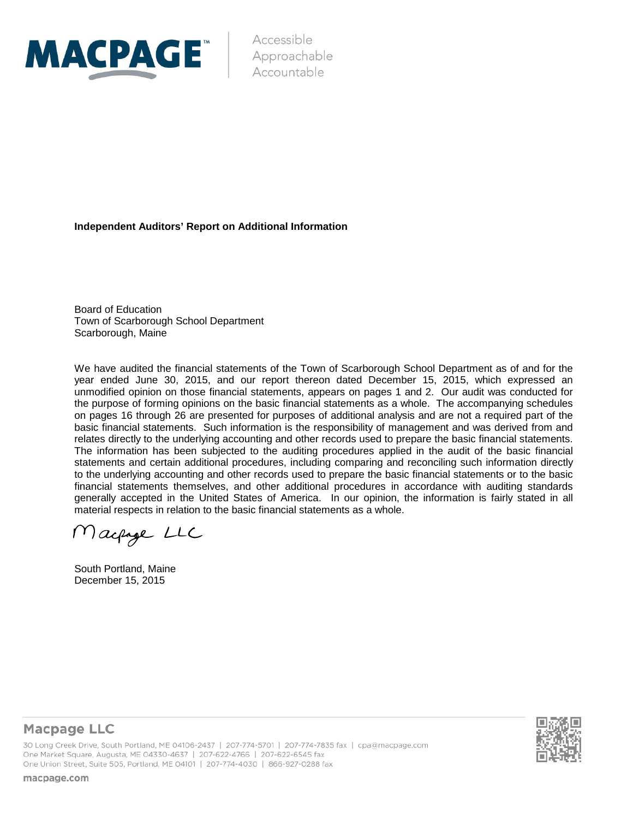

Accessible Approachable Accountable

#### **Independent Auditors' Report on Additional Information**

Board of Education Town of Scarborough School Department Scarborough, Maine

We have audited the financial statements of the Town of Scarborough School Department as of and for the year ended June 30, 2015, and our report thereon dated December 15, 2015, which expressed an unmodified opinion on those financial statements, appears on pages 1 and 2. Our audit was conducted for the purpose of forming opinions on the basic financial statements as a whole. The accompanying schedules on pages 16 through 26 are presented for purposes of additional analysis and are not a required part of the basic financial statements. Such information is the responsibility of management and was derived from and relates directly to the underlying accounting and other records used to prepare the basic financial statements. The information has been subjected to the auditing procedures applied in the audit of the basic financial statements and certain additional procedures, including comparing and reconciling such information directly to the underlying accounting and other records used to prepare the basic financial statements or to the basic financial statements themselves, and other additional procedures in accordance with auditing standards generally accepted in the United States of America. In our opinion, the information is fairly stated in all material respects in relation to the basic financial statements as a whole.

Macpage LLC

South Portland, Maine December 15, 2015



30 Long Creek Drive, South Portland, ME 04106-2437 | 207-774-5701 | 207-774-7835 fax | cpa@macpage.com One Market Square, Augusta, ME 04330-4637 | 207-622-4766 | 207-622-6545 fax One Union Street, Suite 505, Portland, ME 04101 | 207-774-4030 | 866-927-0288 fax

macpage.com

**Macpage LLC**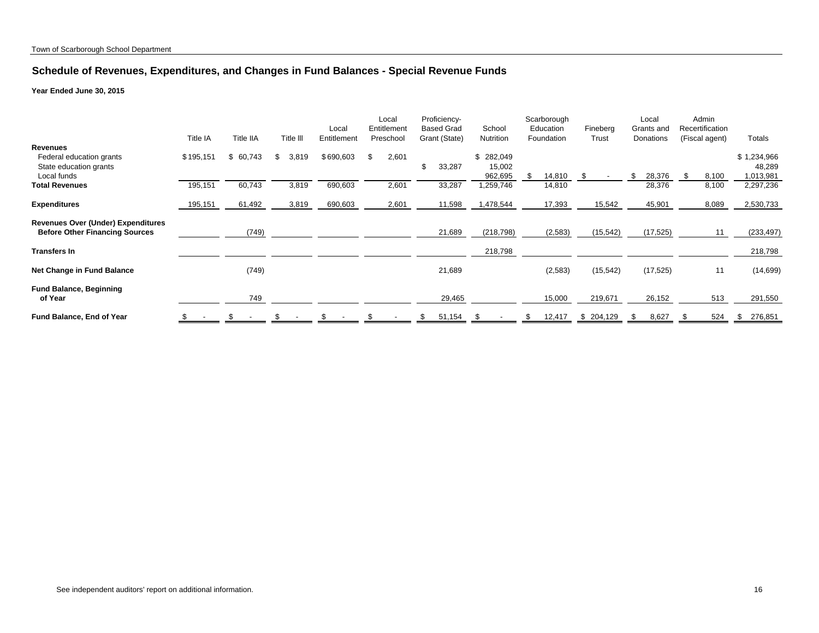#### **Schedule of Revenues, Expenditures, and Changes in Fund Balances - Special Revenue Funds**

|                                                                                    | Title IA  | Title IIA | Title III   | Local<br>Entitlement | Local<br>Entitlement<br>Preschool | Proficiency-<br><b>Based Grad</b><br>Grant (State) | School<br>Nutrition                |     | Scarborough<br>Education<br>Foundation | Fineberg<br>Trust |     | Local<br>Grants and<br>Donations |    | Admin<br>Recertification<br>(Fiscal agent) | Totals                             |
|------------------------------------------------------------------------------------|-----------|-----------|-------------|----------------------|-----------------------------------|----------------------------------------------------|------------------------------------|-----|----------------------------------------|-------------------|-----|----------------------------------|----|--------------------------------------------|------------------------------------|
| Revenues<br>Federal education grants<br>State education grants<br>Local funds      | \$195,151 | \$60,743  | \$<br>3,819 | \$690,603            | \$<br>2,601                       | \$<br>33,287                                       | \$<br>282,049<br>15,002<br>962,695 | \$. | 14,810                                 | -S                | \$. | 28,376                           | S  | 8,100                                      | \$1,234,966<br>48,289<br>1,013,981 |
| <b>Total Revenues</b>                                                              | 195,151   | 60,743    | 3,819       | 690,603              | 2,601                             | 33,287                                             | 1,259,746                          |     | 14,810                                 |                   |     | 28,376                           |    | 8,100                                      | 2,297,236                          |
| <b>Expenditures</b>                                                                | 195,151   | 61,492    | 3,819       | 690,603              | 2,601                             | 11,598                                             | 1,478,544                          |     | 17,393                                 | 15,542            |     | 45,901                           |    | 8,089                                      | 2,530,733                          |
| <b>Revenues Over (Under) Expenditures</b><br><b>Before Other Financing Sources</b> |           | (749)     |             |                      |                                   | 21,689                                             | (218, 798)                         |     | (2, 583)                               | (15, 542)         |     | (17, 525)                        |    | 11                                         | (233, 497)                         |
| <b>Transfers In</b>                                                                |           |           |             |                      |                                   |                                                    | 218,798                            |     |                                        |                   |     |                                  |    |                                            | 218,798                            |
| Net Change in Fund Balance                                                         |           | (749)     |             |                      |                                   | 21,689                                             |                                    |     | (2, 583)                               | (15, 542)         |     | (17, 525)                        |    | 11                                         | (14, 699)                          |
| <b>Fund Balance, Beginning</b><br>of Year                                          |           | 749       |             |                      |                                   | 29,465                                             |                                    |     | 15,000                                 | 219,671           |     | 26,152                           |    | 513                                        | 291,550                            |
| Fund Balance, End of Year                                                          | \$        |           |             |                      |                                   | \$<br>51,154                                       | S                                  |     | 12,417                                 | \$204,129         | -S  | 8,627                            | \$ | 524                                        | 276,851<br>\$                      |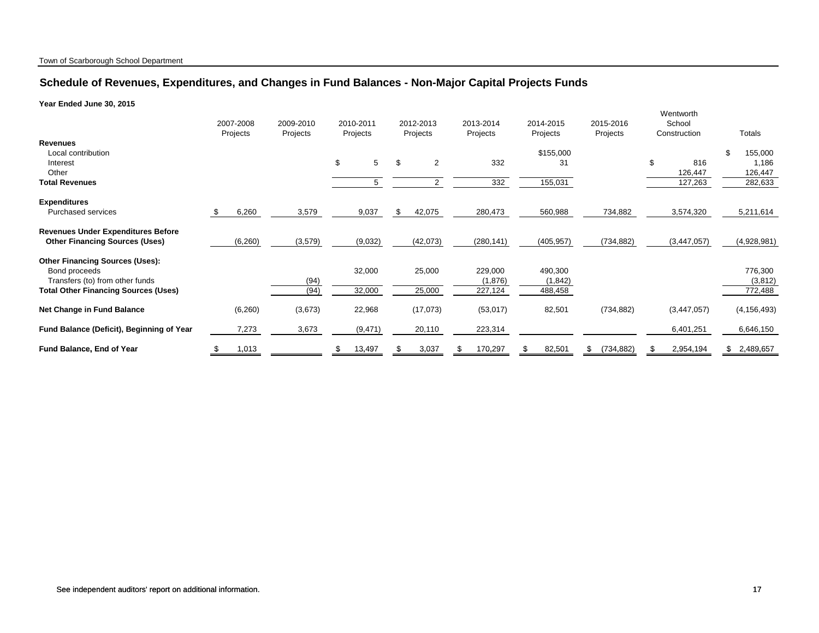### **Schedule of Revenues, Expenditures, and Changes in Fund Balances - Non-Major Capital Projects Funds**

|                                                                                                                                           | 2007-2008<br>Projects | 2009-2010<br>Projects | 2010-2011<br>Projects | 2012-2013<br>Projects     | 2013-2014<br>Projects         | 2014-2015<br>Projects          |   | 2015-2016<br>Projects |    | Wentworth<br>School<br>Construction |     | Totals                                 |
|-------------------------------------------------------------------------------------------------------------------------------------------|-----------------------|-----------------------|-----------------------|---------------------------|-------------------------------|--------------------------------|---|-----------------------|----|-------------------------------------|-----|----------------------------------------|
| <b>Revenues</b><br>Local contribution<br>Interest<br>Other<br><b>Total Revenues</b>                                                       |                       |                       | \$<br>5<br>5          | \$<br>$\overline{2}$<br>2 | 332<br>332                    | \$155,000<br>31<br>155,031     |   |                       | \$ | 816<br>126,447<br>127,263           | \$. | 155,000<br>1,186<br>126,447<br>282,633 |
| <b>Expenditures</b><br>Purchased services                                                                                                 | 6,260                 | 3,579                 | 9,037                 | \$<br>42,075              | 280,473                       | 560,988                        |   | 734,882               |    | 3,574,320                           |     | 5,211,614                              |
| Revenues Under Expenditures Before<br><b>Other Financing Sources (Uses)</b>                                                               | (6,260)               | (3, 579)              | (9,032)               | (42,073)                  | (280, 141)                    | (405, 957)                     |   | (734, 882)            |    | (3,447,057)                         |     | (4,928,981)                            |
| <b>Other Financing Sources (Uses):</b><br>Bond proceeds<br>Transfers (to) from other funds<br><b>Total Other Financing Sources (Uses)</b> |                       | (94)<br>(94)          | 32,000<br>32,000      | 25,000<br>25,000          | 229,000<br>(1,876)<br>227,124 | 490,300<br>(1, 842)<br>488,458 |   |                       |    |                                     |     | 776,300<br>(3,812)<br>772,488          |
| Net Change in Fund Balance                                                                                                                | (6,260)               | (3,673)               | 22,968                | (17,073)                  | (53,017)                      | 82,501                         |   | (734, 882)            |    | (3, 447, 057)                       |     | (4, 156, 493)                          |
| Fund Balance (Deficit), Beginning of Year                                                                                                 | 7,273                 | 3,673                 | (9, 471)              | 20,110                    | 223,314                       |                                |   |                       |    | 6,401,251                           |     | 6,646,150                              |
| Fund Balance, End of Year                                                                                                                 | 1,013                 |                       | 13,497                | \$<br>3,037               | 170,297                       | \$<br>82,501                   | S | (734, 882)            | £. | 2,954,194                           | \$  | 2,489,657                              |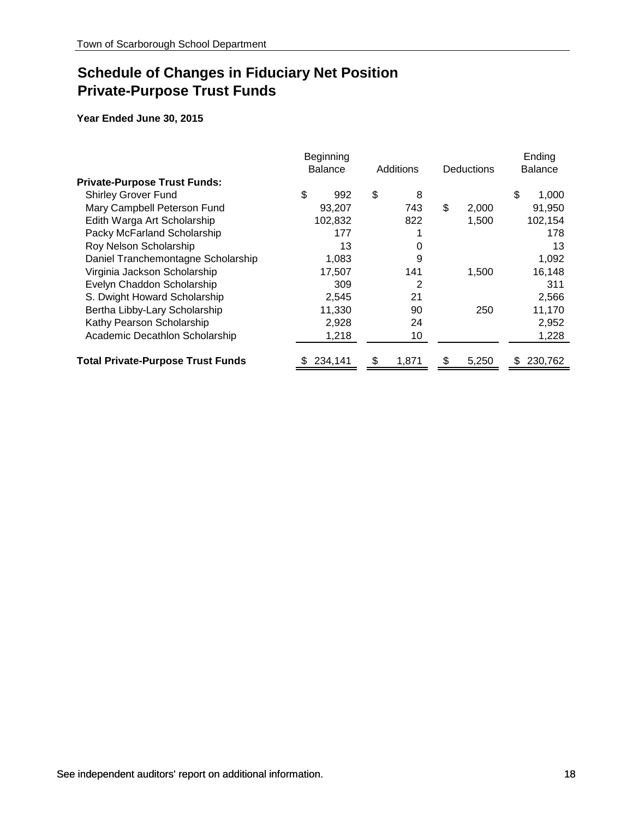# **Schedule of Changes in Fiduciary Net Position Private-Purpose Trust Funds**

|                                          | Beginning      |       |    |           |             |    | Ending         |
|------------------------------------------|----------------|-------|----|-----------|-------------|----|----------------|
|                                          | <b>Balance</b> |       |    | Additions | Deductions  |    | <b>Balance</b> |
| <b>Private-Purpose Trust Funds:</b>      |                |       |    |           |             |    |                |
| <b>Shirley Grover Fund</b>               | \$             | 992   | \$ | 8         |             | \$ | 1,000          |
| Mary Campbell Peterson Fund              | 93,207         |       |    | 743       | \$<br>2,000 |    | 91,950         |
| Edith Warga Art Scholarship              | 102,832        |       |    | 822       | 1,500       |    | 102,154        |
| Packy McFarland Scholarship              |                | 177   |    |           |             |    | 178            |
| Roy Nelson Scholarship                   |                | 13    |    | O         |             |    | 13             |
| Daniel Tranchemontagne Scholarship       |                | 1,083 |    | 9         |             |    | 1,092          |
| Virginia Jackson Scholarship             | 17,507         |       |    | 141       | 1,500       |    | 16,148         |
| Evelyn Chaddon Scholarship               |                | 309   |    | 2         |             |    | 311            |
| S. Dwight Howard Scholarship             |                | 2,545 |    | 21        |             |    | 2,566          |
| Bertha Libby-Lary Scholarship            | 11,330         |       |    | 90        | 250         |    | 11,170         |
| Kathy Pearson Scholarship                |                | 2,928 |    | 24        |             |    | 2,952          |
| Academic Decathlon Scholarship           |                | 1,218 |    | 10        |             |    | 1,228          |
| <b>Total Private-Purpose Trust Funds</b> | 234,141        |       | S  | 1,871     | 5,250       | S  | 230,762        |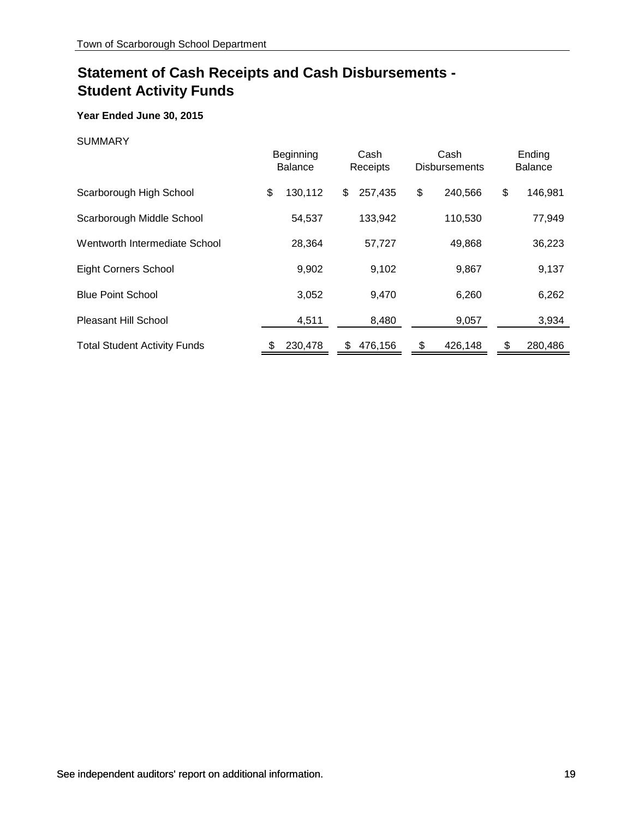### **Year Ended June 30, 2015**

#### SUMMARY

|                                     | Beginning<br><b>Balance</b> | Cash<br>Receipts | Cash<br><b>Disbursements</b> | Ending<br><b>Balance</b> |
|-------------------------------------|-----------------------------|------------------|------------------------------|--------------------------|
| Scarborough High School             | \$<br>130,112               | \$<br>257,435    | \$<br>240,566                | \$<br>146,981            |
| Scarborough Middle School           | 54,537                      | 133,942          | 110,530                      | 77,949                   |
| Wentworth Intermediate School       | 28,364                      | 57,727           | 49,868                       | 36,223                   |
| <b>Eight Corners School</b>         | 9,902                       | 9,102            | 9,867                        | 9,137                    |
| <b>Blue Point School</b>            | 3,052                       | 9,470            | 6,260                        | 6,262                    |
| Pleasant Hill School                | 4,511                       | 8,480            | 9,057                        | 3,934                    |
| <b>Total Student Activity Funds</b> | 230,478                     | \$<br>476,156    | \$<br>426,148                | \$<br>280,486            |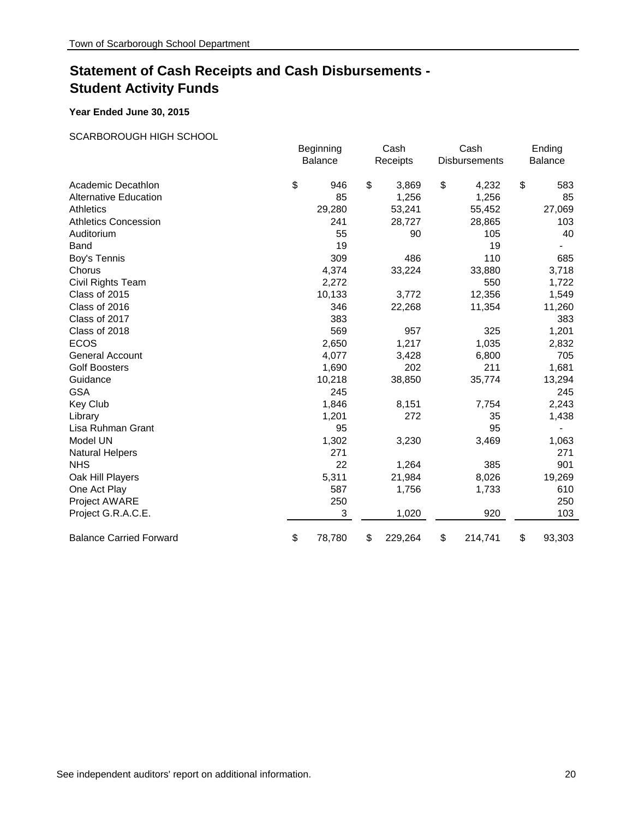#### **Year Ended June 30, 2015**

#### SCARBOROUGH HIGH SCHOOL

|                                | Beginning      |        | Cash     |         | Cash |                      | Ending |                |
|--------------------------------|----------------|--------|----------|---------|------|----------------------|--------|----------------|
|                                | <b>Balance</b> |        | Receipts |         |      | <b>Disbursements</b> |        | <b>Balance</b> |
| Academic Decathlon             | \$             | 946    | \$       | 3,869   | \$   | 4,232                | \$     | 583            |
| <b>Alternative Education</b>   |                | 85     |          | 1,256   |      | 1,256                |        | 85             |
| Athletics                      |                | 29,280 |          | 53,241  |      | 55,452               |        | 27,069         |
| <b>Athletics Concession</b>    |                | 241    |          | 28,727  |      | 28,865               |        | 103            |
| Auditorium                     |                | 55     |          | 90      |      | 105                  |        | 40             |
| Band                           |                | 19     |          |         |      | 19                   |        |                |
| Boy's Tennis                   |                | 309    |          | 486     |      | 110                  |        | 685            |
| Chorus                         |                | 4,374  |          | 33,224  |      | 33,880               |        | 3,718          |
| Civil Rights Team              |                | 2,272  |          |         |      | 550                  |        | 1,722          |
| Class of 2015                  |                | 10,133 |          | 3,772   |      | 12,356               |        | 1,549          |
| Class of 2016                  |                | 346    |          | 22,268  |      | 11,354               |        | 11,260         |
| Class of 2017                  |                | 383    |          |         |      |                      |        | 383            |
| Class of 2018                  |                | 569    |          | 957     |      | 325                  |        | 1,201          |
| <b>ECOS</b>                    |                | 2,650  |          | 1,217   |      | 1,035                |        | 2,832          |
| <b>General Account</b>         |                | 4,077  |          | 3,428   |      | 6,800                |        | 705            |
| <b>Golf Boosters</b>           |                | 1,690  |          | 202     |      | 211                  |        | 1,681          |
| Guidance                       |                | 10,218 |          | 38,850  |      | 35,774               |        | 13,294         |
| <b>GSA</b>                     |                | 245    |          |         |      |                      |        | 245            |
| Key Club                       |                | 1,846  |          | 8,151   |      | 7,754                |        | 2,243          |
| Library                        |                | 1,201  |          | 272     |      | 35                   |        | 1,438          |
| Lisa Ruhman Grant              |                | 95     |          |         |      | 95                   |        |                |
| Model UN                       |                | 1,302  |          | 3,230   |      | 3,469                |        | 1,063          |
| <b>Natural Helpers</b>         |                | 271    |          |         |      |                      |        | 271            |
| <b>NHS</b>                     |                | 22     |          | 1,264   |      | 385                  |        | 901            |
| Oak Hill Players               |                | 5,311  |          | 21,984  |      | 8,026                |        | 19,269         |
| One Act Play                   |                | 587    |          | 1,756   |      | 1,733                |        | 610            |
| Project AWARE                  |                | 250    |          |         |      |                      |        | 250            |
| Project G.R.A.C.E.             |                | 3      |          | 1,020   |      | 920                  |        | 103            |
| <b>Balance Carried Forward</b> | \$             | 78,780 | \$       | 229,264 | \$   | 214,741              | \$     | 93,303         |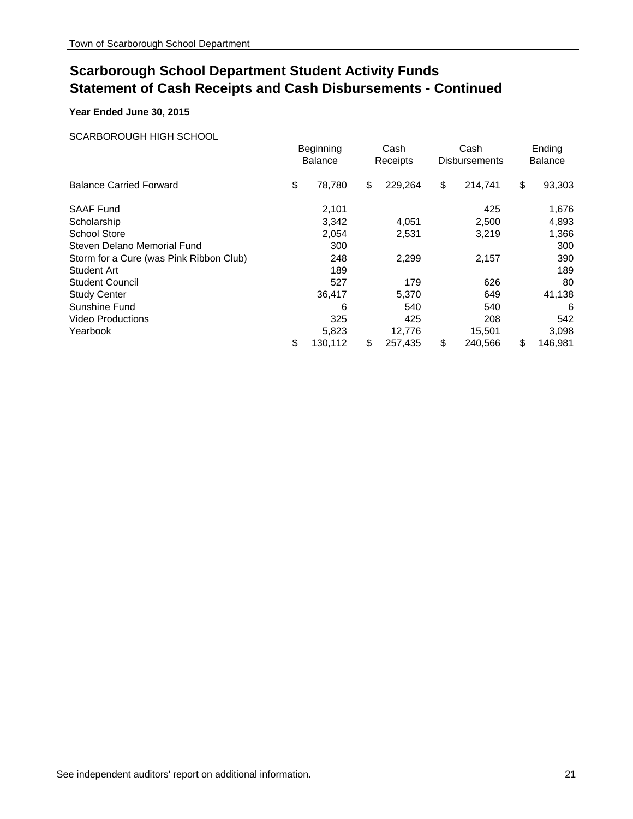# **Scarborough School Department Student Activity Funds Statement of Cash Receipts and Cash Disbursements - Continued**

### **Year Ended June 30, 2015**

#### SCARBOROUGH HIGH SCHOOL

|                                         | Beginning<br><b>Balance</b> |        | Cash<br>Receipts |         | Cash<br><b>Disbursements</b> |         | Ending<br><b>Balance</b> |
|-----------------------------------------|-----------------------------|--------|------------------|---------|------------------------------|---------|--------------------------|
| <b>Balance Carried Forward</b>          | \$                          | 78,780 | \$               | 229,264 | \$                           | 214,741 | \$<br>93,303             |
| SAAF Fund                               |                             | 2,101  |                  |         |                              | 425     | 1,676                    |
| Scholarship                             |                             | 3,342  |                  | 4,051   |                              | 2,500   | 4,893                    |
| <b>School Store</b>                     |                             | 2,054  |                  | 2,531   |                              | 3,219   | 1,366                    |
| Steven Delano Memorial Fund             |                             | 300    |                  |         |                              |         | 300                      |
| Storm for a Cure (was Pink Ribbon Club) |                             | 248    |                  | 2,299   |                              | 2,157   | 390                      |
| Student Art                             |                             | 189    |                  |         |                              |         | 189                      |
| <b>Student Council</b>                  |                             | 527    |                  | 179     |                              | 626     | 80                       |
| <b>Study Center</b>                     |                             | 36,417 |                  | 5,370   |                              | 649     | 41,138                   |
| Sunshine Fund                           |                             | 6      |                  | 540     |                              | 540     | 6                        |
| <b>Video Productions</b>                |                             | 325    |                  | 425     |                              | 208     | 542                      |
| Yearbook                                |                             | 5,823  |                  | 12,776  |                              | 15,501  | 3,098                    |
|                                         | 130,112                     |        | \$               | 257,435 | \$                           | 240,566 | \$<br>146,981            |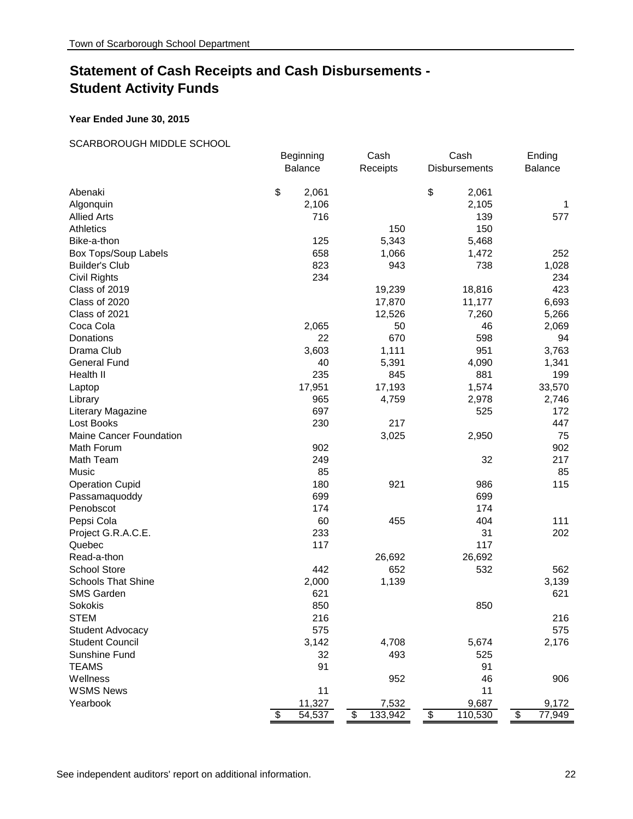#### **Year Ended June 30, 2015**

#### SCARBOROUGH MIDDLE SCHOOL

|                           | Beginning              | Cash                                        |                          | Cash                 |                         | Ending                      |
|---------------------------|------------------------|---------------------------------------------|--------------------------|----------------------|-------------------------|-----------------------------|
|                           | <b>Balance</b>         | Receipts                                    |                          | <b>Disbursements</b> |                         | <b>Balance</b>              |
| Abenaki                   | \$<br>2,061            |                                             | \$                       | 2,061                |                         |                             |
| Algonquin                 | 2,106                  |                                             |                          | 2,105                |                         | 1                           |
| <b>Allied Arts</b>        | 716                    |                                             |                          | 139                  |                         | 577                         |
| Athletics                 |                        | 150                                         |                          | 150                  |                         |                             |
| Bike-a-thon               | 125                    | 5,343                                       |                          | 5,468                |                         |                             |
| Box Tops/Soup Labels      | 658                    | 1,066                                       |                          | 1,472                |                         | 252                         |
| <b>Builder's Club</b>     | 823                    | 943                                         |                          | 738                  |                         | 1,028                       |
| Civil Rights              | 234                    |                                             |                          |                      |                         | 234                         |
| Class of 2019             |                        | 19,239                                      |                          | 18,816               |                         | 423                         |
| Class of 2020             |                        | 17,870                                      |                          | 11,177               |                         | 6,693                       |
| Class of 2021             |                        | 12,526                                      |                          | 7,260                |                         | 5,266                       |
| Coca Cola                 | 2,065                  | 50                                          |                          | 46                   |                         | 2,069                       |
| Donations                 | 22                     | 670                                         |                          | 598                  |                         | 94                          |
| Drama Club                | 3,603                  | 1,111                                       |                          | 951                  |                         | 3,763                       |
| <b>General Fund</b>       | 40                     | 5,391                                       |                          | 4,090                |                         | 1,341                       |
| Health II                 | 235                    | 845                                         |                          | 881                  |                         | 199                         |
| Laptop                    | 17,951                 | 17,193                                      |                          | 1,574                |                         | 33,570                      |
| Library                   | 965                    | 4,759                                       |                          | 2,978                |                         | 2,746                       |
| Literary Magazine         | 697                    |                                             |                          | 525                  |                         | 172                         |
| Lost Books                | 230                    | 217                                         |                          |                      |                         | 447                         |
| Maine Cancer Foundation   |                        | 3,025                                       |                          | 2,950                |                         | 75                          |
| Math Forum                | 902                    |                                             |                          |                      |                         | 902                         |
| Math Team                 | 249                    |                                             |                          | 32                   |                         | 217                         |
| Music                     | 85                     |                                             |                          |                      |                         | 85                          |
| <b>Operation Cupid</b>    | 180                    | 921                                         |                          | 986                  |                         | 115                         |
| Passamaquoddy             | 699                    |                                             |                          | 699                  |                         |                             |
| Penobscot                 | 174                    |                                             |                          | 174                  |                         |                             |
| Pepsi Cola                | 60                     | 455                                         |                          | 404                  |                         | 111                         |
| Project G.R.A.C.E.        | 233                    |                                             |                          | 31                   |                         | 202                         |
| Quebec                    | 117                    |                                             |                          | 117                  |                         |                             |
| Read-a-thon               |                        | 26,692                                      |                          | 26,692               |                         |                             |
| <b>School Store</b>       | 442                    | 652                                         |                          | 532                  |                         | 562                         |
| <b>Schools That Shine</b> | 2,000                  | 1,139                                       |                          |                      |                         | 3,139                       |
| <b>SMS Garden</b>         | 621                    |                                             |                          |                      |                         | 621                         |
| Sokokis                   | 850                    |                                             |                          | 850                  |                         |                             |
| <b>STEM</b>               | 216                    |                                             |                          |                      |                         | 216                         |
| Student Advocacy          | 575                    |                                             |                          |                      |                         | 575                         |
| <b>Student Council</b>    | 3,142                  | 4,708                                       |                          | 5,674                |                         | 2,176                       |
| Sunshine Fund             | 32                     | 493                                         |                          | 525                  |                         |                             |
| <b>TEAMS</b>              | 91                     |                                             |                          | 91                   |                         |                             |
| Wellness                  |                        | 952                                         |                          | 46                   |                         | 906                         |
| <b>WSMS News</b>          | 11                     |                                             |                          | 11                   |                         |                             |
| Yearbook                  | \$<br>11,327<br>54,537 | 7,532<br>$\overline{\mathbf{e}}$<br>133,942 | $\overline{\mathcal{E}}$ | 9,687<br>110,530     | $\overline{\mathbf{e}}$ | 9,172<br>$\frac{1}{77,949}$ |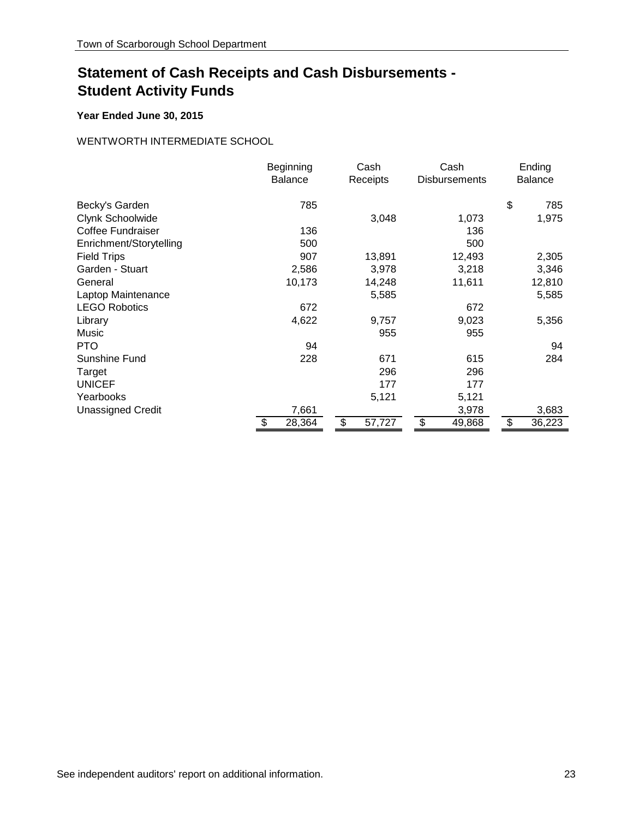### **Year Ended June 30, 2015**

#### WENTWORTH INTERMEDIATE SCHOOL

|                          | Beginning<br><b>Balance</b> | Cash<br>Receipts | Cash<br><b>Disbursements</b> | Ending<br><b>Balance</b> |  |
|--------------------------|-----------------------------|------------------|------------------------------|--------------------------|--|
| Becky's Garden           | 785                         |                  |                              | \$<br>785                |  |
| Clynk Schoolwide         |                             | 3,048            | 1,073                        | 1,975                    |  |
| Coffee Fundraiser        | 136                         |                  | 136                          |                          |  |
| Enrichment/Storytelling  | 500                         |                  | 500                          |                          |  |
| <b>Field Trips</b>       | 907                         | 13,891           | 12,493                       | 2,305                    |  |
| Garden - Stuart          | 2,586                       | 3,978            | 3,218                        | 3,346                    |  |
| General                  | 10,173                      | 14,248           | 11,611                       | 12,810                   |  |
| Laptop Maintenance       |                             | 5,585            |                              | 5,585                    |  |
| <b>LEGO Robotics</b>     | 672                         |                  | 672                          |                          |  |
| Library                  | 4,622                       | 9,757            | 9,023                        | 5,356                    |  |
| Music                    |                             | 955              | 955                          |                          |  |
| <b>PTO</b>               | 94                          |                  |                              | 94                       |  |
| Sunshine Fund            | 228                         | 671              | 615                          | 284                      |  |
| Target                   |                             | 296              | 296                          |                          |  |
| <b>UNICEF</b>            |                             | 177              | 177                          |                          |  |
| Yearbooks                |                             | 5,121            | 5,121                        |                          |  |
| <b>Unassigned Credit</b> | 7,661                       |                  | 3,978                        | 3,683                    |  |
|                          | \$<br>28,364                | \$<br>57,727     | \$<br>49,868                 | \$<br>36,223             |  |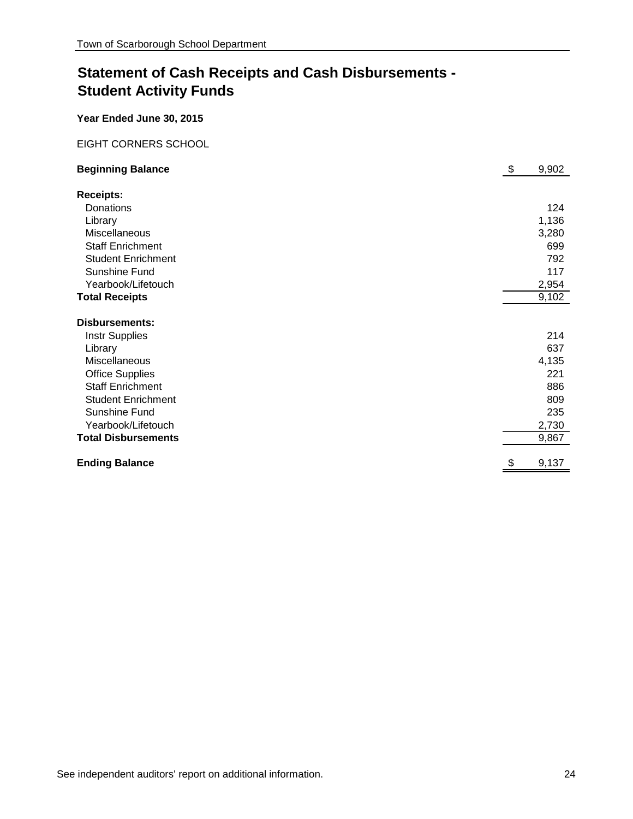### **Year Ended June 30, 2015**

#### EIGHT CORNERS SCHOOL

| <b>Beginning Balance</b>   | $\boldsymbol{\mathsf{S}}$ | 9,902 |
|----------------------------|---------------------------|-------|
| <b>Receipts:</b>           |                           |       |
| Donations                  |                           | 124   |
| Library                    |                           | 1,136 |
| Miscellaneous              |                           | 3,280 |
| <b>Staff Enrichment</b>    |                           | 699   |
| <b>Student Enrichment</b>  |                           | 792   |
| Sunshine Fund              |                           | 117   |
| Yearbook/Lifetouch         |                           | 2,954 |
| <b>Total Receipts</b>      |                           | 9,102 |
| <b>Disbursements:</b>      |                           |       |
| Instr Supplies             |                           | 214   |
| Library                    |                           | 637   |
| Miscellaneous              |                           | 4,135 |
| <b>Office Supplies</b>     |                           | 221   |
| <b>Staff Enrichment</b>    |                           | 886   |
| <b>Student Enrichment</b>  |                           | 809   |
| Sunshine Fund              |                           | 235   |
| Yearbook/Lifetouch         |                           | 2,730 |
| <b>Total Disbursements</b> |                           | 9,867 |
| <b>Ending Balance</b>      | \$                        | 9,137 |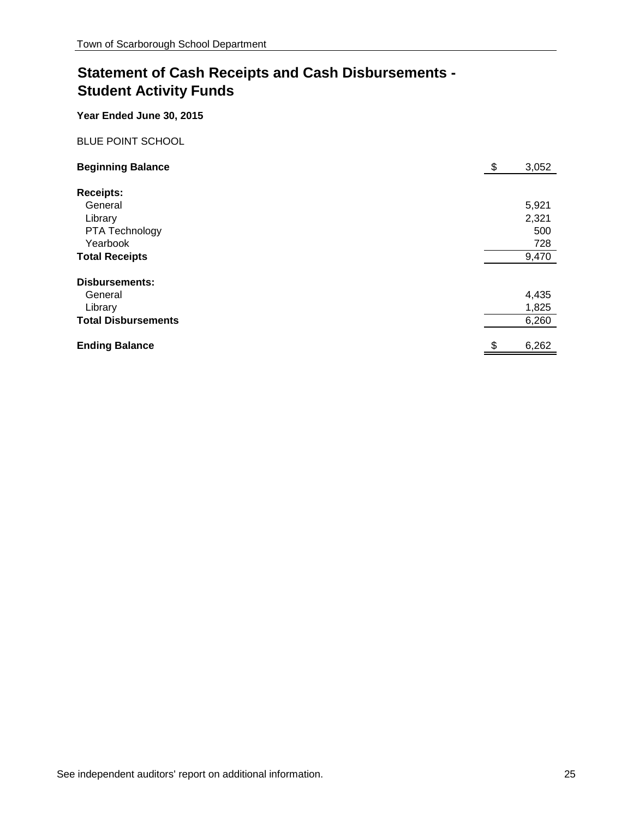**Year Ended June 30, 2015**

### BLUE POINT SCHOOL

| <b>Beginning Balance</b>   | $\boldsymbol{\theta}$ | 3,052 |
|----------------------------|-----------------------|-------|
| <b>Receipts:</b>           |                       |       |
| General                    |                       | 5,921 |
| Library                    |                       | 2,321 |
| PTA Technology             |                       | 500   |
| Yearbook                   |                       | 728   |
| <b>Total Receipts</b>      |                       | 9,470 |
| <b>Disbursements:</b>      |                       |       |
| General                    |                       | 4,435 |
| Library                    |                       | 1,825 |
| <b>Total Disbursements</b> |                       | 6,260 |
| <b>Ending Balance</b>      | \$                    | 6,262 |